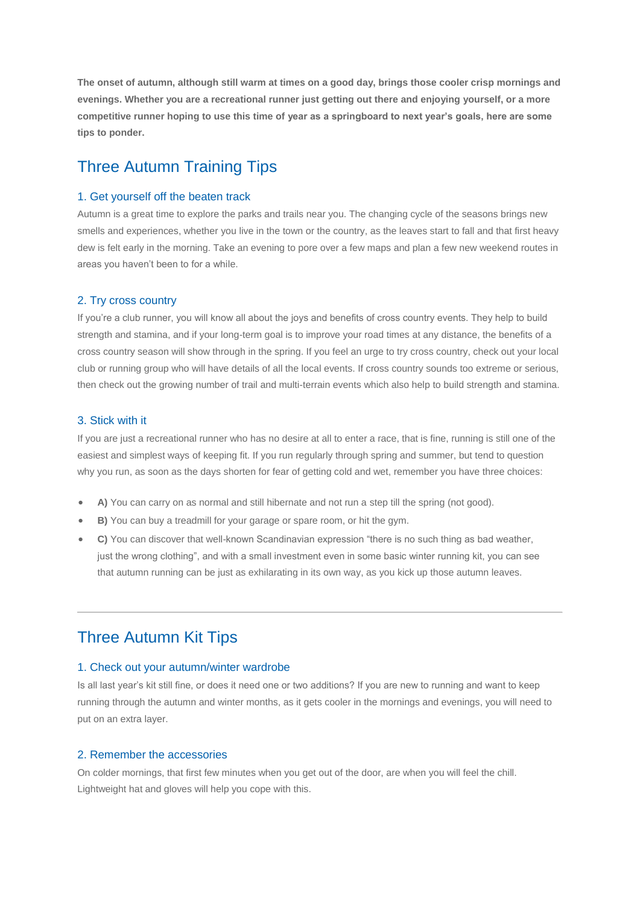**The onset of autumn, although still warm at times on a good day, brings those cooler crisp mornings and evenings. Whether you are a recreational runner just getting out there and enjoying yourself, or a more competitive runner hoping to use this time of year as a springboard to next year's goals, here are some tips to ponder.**

# Three Autumn Training Tips

#### 1. Get yourself off the beaten track

Autumn is a great time to explore the parks and trails near you. The changing cycle of the seasons brings new smells and experiences, whether you live in the town or the country, as the leaves start to fall and that first heavy dew is felt early in the morning. Take an evening to pore over a few maps and plan a few new weekend routes in areas you haven't been to for a while.

### 2. Try cross country

If you're a club runner, you will know all about the joys and benefits of cross country events. They help to build strength and stamina, and if your long-term goal is to improve your road times at any distance, the benefits of a cross country season will show through in the spring. If you feel an urge to try cross country, check out your local club or running group who will have details of all the local events. If cross country sounds too extreme or serious, then check out the growing number of trail and multi-terrain events which also help to build strength and stamina.

### 3. Stick with it

If you are just a recreational runner who has no desire at all to enter a race, that is fine, running is still one of the easiest and simplest ways of keeping fit. If you run regularly through spring and summer, but tend to question why you run, as soon as the days shorten for fear of getting cold and wet, remember you have three choices:

- **A)** You can carry on as normal and still hibernate and not run a step till the spring (not good).
- **B)** You can buy a treadmill for your garage or spare room, or hit the gym.
- **C)** You can discover that well-known Scandinavian expression "there is no such thing as bad weather, just the wrong clothing", and with a small investment even in some basic winter running kit, you can see that autumn running can be just as exhilarating in its own way, as you kick up those autumn leaves.

## Three Autumn Kit Tips

### 1. Check out your autumn/winter wardrobe

Is all last year's kit still fine, or does it need one or two additions? If you are new to running and want to keep running through the autumn and winter months, as it gets cooler in the mornings and evenings, you will need to put on an extra layer.

### 2. Remember the accessories

On colder mornings, that first few minutes when you get out of the door, are when you will feel the chill. Lightweight hat and gloves will help you cope with this.